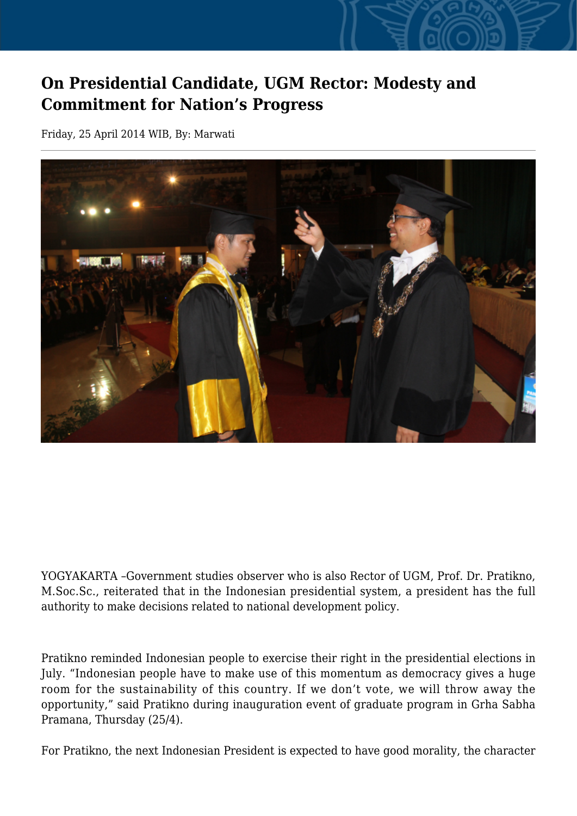## **On Presidential Candidate, UGM Rector: Modesty and Commitment for Nation's Progress**

Friday, 25 April 2014 WIB, By: Marwati



YOGYAKARTA –Government studies observer who is also Rector of UGM, Prof. Dr. Pratikno, M.Soc.Sc., reiterated that in the Indonesian presidential system, a president has the full authority to make decisions related to national development policy.

Pratikno reminded Indonesian people to exercise their right in the presidential elections in July. "Indonesian people have to make use of this momentum as democracy gives a huge room for the sustainability of this country. If we don't vote, we will throw away the opportunity," said Pratikno during inauguration event of graduate program in Grha Sabha Pramana, Thursday (25/4).

For Pratikno, the next Indonesian President is expected to have good morality, the character